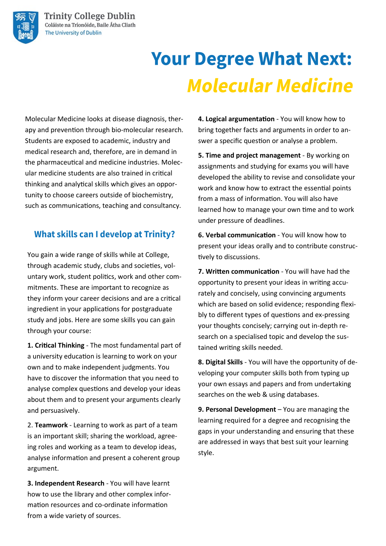

# **Your Degree What Next: Molecular Medicine**

Molecular Medicine looks at disease diagnosis, therapy and prevention through bio-molecular research. Students are exposed to academic, industry and medical research and, therefore, are in demand in the pharmaceutical and medicine industries. Molecular medicine students are also trained in critical thinking and analytical skills which gives an opportunity to choose careers outside of biochemistry, such as communications, teaching and consultancy.

## **What skills can I develop at Trinity?**

You gain a wide range of skills while at College, through academic study, clubs and societies, voluntary work, student politics, work and other commitments. These are important to recognize as they inform your career decisions and are a critical ingredient in your applications for postgraduate study and jobs. Here are some skills you can gain through your course:

**1. Critical Thinking** - The most fundamental part of a university education is learning to work on your own and to make independent judgments. You have to discover the information that you need to analyse complex questions and develop your ideas about them and to present your arguments clearly and persuasively.

2. **Teamwork** - Learning to work as part of a team is an important skill; sharing the workload, agreeing roles and working as a team to develop ideas, analyse information and present a coherent group argument.

**3. Independent Research** - You will have learnt how to use the library and other complex information resources and co-ordinate information from a wide variety of sources.

**4. Logical argumentation** - You will know how to bring together facts and arguments in order to answer a specific question or analyse a problem.

**5. Time and project management** - By working on assignments and studying for exams you will have developed the ability to revise and consolidate your work and know how to extract the essential points from a mass of information. You will also have learned how to manage your own time and to work under pressure of deadlines.

**6. Verbal communication** - You will know how to present your ideas orally and to contribute constructively to discussions.

**7. Written communication** - You will have had the opportunity to present your ideas in writing accurately and concisely, using convincing arguments which are based on solid evidence; responding flexibly to different types of questions and ex-pressing your thoughts concisely; carrying out in-depth research on a specialised topic and develop the sustained writing skills needed.

**8. Digital Skills** - You will have the opportunity of developing your computer skills both from typing up your own essays and papers and from undertaking searches on the web & using databases.

**9. Personal Development** – You are managing the learning required for a degree and recognising the gaps in your understanding and ensuring that these are addressed in ways that best suit your learning style.